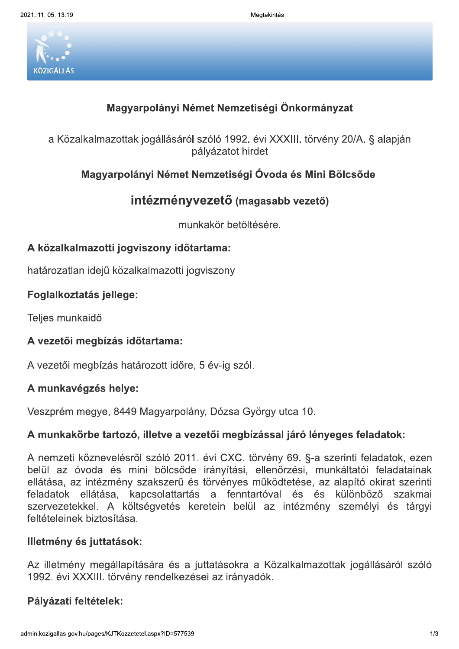9 Megawa tentang pangangang pangangang pangangang mengenaikan pangangang mengenaikan pangangang mengenaikan pan<br>Pangangang mengenaikan pangangang mengenaikan pangangan pangangan pangangan pangang mengenaikan pangang mengen gtekintes



Alegtekintés<br>
KöztőátLAS<br>
KöztőkLAS<br>
Alegyarpolányi Német Nemzetiségi Önkormányzat<br>
a Közalkalmazottak jogállásáról szóló 1992. évi XXXIII. törvény 20/A. § alapján<br>
pályázatot hirdet<br>
Magyarpolányi Német Nemzetiségi Óvoda a Közalkalmazottak jogállásáról szóló 1992. évi XXXIII. törvény 20/A. § alapján pályázatot hirdet Magyarpolányi Német Nemzetiségi Önkormányzat<br>
a Közalkalmazottak jogállásáról szóló 1992. évi XXXIII. törvény 20/A. § al<br>
pályázatot hirdet<br>
Magyarpolányi Német Nemzetiségi Óvoda és Mini Bölcsőde<br> **intézményvezető** (magasa rarpolányi Német Nemzetiségi Önkormányzat<br>ak jogállásáról szóló 1992. évi XXXIII. törvény 20/A. §<br>pályázatot hirdet<br>lányi Német Nemzetiségi Óvoda és Mini Bölcsőde<br>intézményvezető (magasabb vezető)<br>munkakör betöltésére.<br>yvi

# pályázatot hirdet<br>Magyarpolányi Német Nemzetiségi Óvoda és Mini<br>intézményvezető (magasabb vezető<br>munkakör betöltésére.<br>A közalkalmazotti jogviszony időtartama:<br>határozatlan idejű közalkalmazotti jogviszony<br>Foglalkoztatás j

munkakör betöltésére.

# intézmér<br>n<br>n<br>A közalkalmazotti jogviszony id<br>határozatlan idejű közalkalmazotti<br>Foglalkoztatás jellege:<br>Teljes munkaidő<br>A vezetői megbízás időtartama:<br>A vezetői megbízás határozott idő<br>A munkavégzés helye:

határozatlan idejű közalkalmazotti jogviszony

Teljes munkaidő

A vezetoi megbizas hatarozott idore,

A közalkalmazotti jogviszony időtartama:<br>határozatlan idejű közalkalmazotti jogviszony<br>Foglalkoztatás jellege:<br>Teljes munkaidő<br>A vezetői megbízás időtartama:<br>A vezetői megbízás határozott időre, 5 év-ig szól.<br>A munkavégzés szprem megye, 8449 Magyarpolany, Dozsa Gyorgy utca 10

Foglalkoztatás jellege:<br>
Teljes munkaidő<br>
A vezetői megbízás időtartama:<br>
A vezetői megbízás határozott időre, 5 év-ig szól.<br>
A munkavégzés helye:<br>
Veszprém megye, 8449 Magyarpolány, Dózsa Gyö<br>
A munkakörbe tartozó, illetv A vezetői megbízás időtartama:<br>
A vezetői megbízás határozott időre, 5 év-ig szól.<br>
A munkavégzés helye:<br>
Veszprém megye, 8449 Magyarpolány, Dózsa György utca 10.<br>
A munkakörbe tartozó, illetve a vezetői megbízással járó l mzeti koznevelesrol szolo 2011. evi CXC. torveny 69. §-a szerinti feladatok, ezen belul az ovoda és mini bölcsöde iranyítási, ellehőrzési, munkaitatól feladatalhak ellatasa, az intezmeny szakszerű és törvenyes működtetése, az alapító okirát szerinti feladatok ellatasa, kapcsolattartas a fenntartoval és és kulonbozó szakmal szervezetekkel. A koltsegvetes keretein belül az intezmeny szemelyi és targyi **reiteteieinek** A nemzeti köznevelésről szóló 2011. é<br>
belül az óvoda és mini bölcsőde ir<br>
ellátása, az intézmény szakszerű és tö<br>
feladatok ellátása, kapcsolattartás<br>
szervezetekkel. A költségvetés keret<br>
feltételeinek biztosítása.<br> **III** 

tmeny megaliapitasara és a juttatasokra a Kozaikalmazottak jogallasarol szolo 1992. evi XXXIII. torveny rendelkezesel az iranyadok. szervezetekkel. A költségve<br>feltételeinek biztosítása.<br>**Illetmény és juttatások:**<br>Az illetmény megállapítására<br>1992. évi XXXIII. törvény renc<br>**Pályázati feltételek:**<br>admin.kozigallas.gov.hu/pages/KJTKozzetetel.aspx?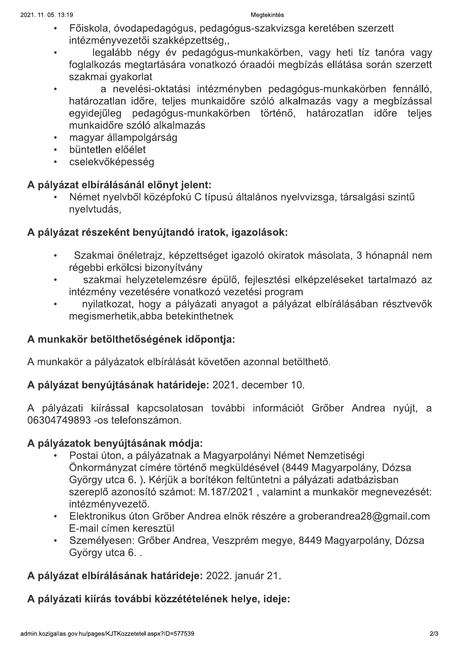# Megtekintés

- Főiskola, óvodapedagógus, pedagógus-szakvizsga keretében szerzett intézményvezetői szakképzettség.,
- legalább négy év pedagógus-munkakörben, vagy heti tíz tanóra vagy foglalkozás megtartására vonatkozó óraadói megbízás ellátása során szerzett szakmai gyakorlat
- a nevelési-oktatási intézményben pedagógus-munkakörben fennálló, határozatlan időre, teljes munkaidőre szóló alkalmazás vagy a megbízással egyidejűleg pedagógus-munkakörben történő, határozatlan időre teljes munkaidőre szóló alkalmazás
- magyar állampolgárság
- · büntetlen előélet
- · cselekvőképesség

# A pályázat elbírálásánál előnyt jelent:

Német nyelvből középfokú C típusú általános nyelvvizsga, társalgási szintű nyelvtudás,

# A pályázat részeként benyújtandó iratok, igazolások:

- Szakmai önéletrajz, képzettséget igazoló okiratok másolata, 3 hónapnál nem régebbi erkölcsi bizonyítvány
- szakmai helyzetelemzésre épülő, fejlesztési elképzeléseket tartalmazó az intézmény vezetésére vonatkozó vezetési program
- nyilatkozat, hogy a pályázati anyagot a pályázat elbírálásában résztvevők megismerhetik, abba betekinthetnek

# A munkakör betölthetőségének időpontja:

A munkakör a pályázatok elbírálását követően azonnal betölthető.

# A pályázat benyújtásának határideje: 2021. december 10.

A pályázati kiírással kapcsolatosan további információt Grőber Andrea nyújt, a 06304749893 -os telefonszámon.

# A pályázatok benyújtásának módja:

- Postai úton, a pályázatnak a Magyarpolányi Német Nemzetiségi Önkormányzat címére történő megküldésével (8449 Magyarpolány, Dózsa György utca 6.). Kérjük a borítékon feltüntetni a pályázati adatbázisban szereplő azonosító számot: M.187/2021, valamint a munkakör megnevezését: intézményvezető.
- · Elektronikus úton Grőber Andrea elnök részére a groberandrea28@gmail.com E-mail címen keresztül
- · Személyesen: Grőber Andrea, Veszprém megye, 8449 Magyarpolány, Dózsa György utca 6...

# A pályázat elbírálásának határideje: 2022. január 21.

A pályázati kiírás további közzétételének helye, ideje: